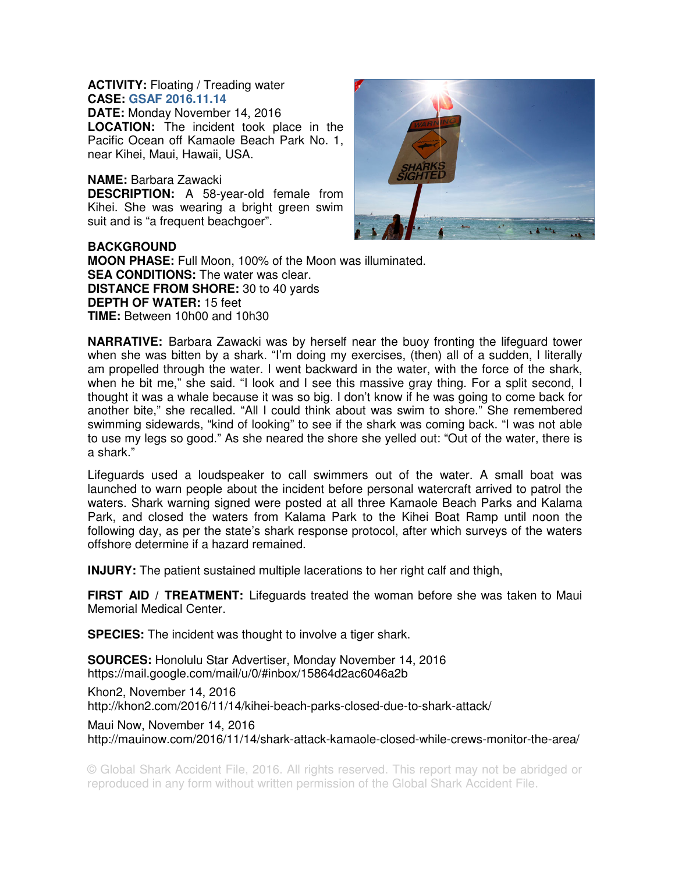## **ACTIVITY:** Floating / Treading water **CASE: GSAF 2016.11.14**

**DATE:** Monday November 14, 2016 **LOCATION:** The incident took place in the Pacific Ocean off Kamaole Beach Park No. 1, near Kihei, Maui, Hawaii, USA.

## **NAME:** Barbara Zawacki

**DESCRIPTION:** A 58-year-old female from Kihei. She was wearing a bright green swim suit and is "a frequent beachgoer".



**BACKGROUND MOON PHASE:** Full Moon, 100% of the Moon was illuminated. **SEA CONDITIONS:** The water was clear. **DISTANCE FROM SHORE:** 30 to 40 yards **DEPTH OF WATER:** 15 feet **TIME:** Between 10h00 and 10h30

**NARRATIVE:** Barbara Zawacki was by herself near the buoy fronting the lifeguard tower when she was bitten by a shark. "I'm doing my exercises, (then) all of a sudden, I literally am propelled through the water. I went backward in the water, with the force of the shark, when he bit me," she said. "I look and I see this massive gray thing. For a split second, I thought it was a whale because it was so big. I don't know if he was going to come back for another bite," she recalled. "All I could think about was swim to shore." She remembered swimming sidewards, "kind of looking" to see if the shark was coming back. "I was not able to use my legs so good." As she neared the shore she yelled out: "Out of the water, there is a shark."

Lifeguards used a loudspeaker to call swimmers out of the water. A small boat was launched to warn people about the incident before personal watercraft arrived to patrol the waters. Shark warning signed were posted at all three Kamaole Beach Parks and Kalama Park, and closed the waters from Kalama Park to the Kihei Boat Ramp until noon the following day, as per the state's shark response protocol, after which surveys of the waters offshore determine if a hazard remained.

**INJURY:** The patient sustained multiple lacerations to her right calf and thigh,

**FIRST AID / TREATMENT:** Lifeguards treated the woman before she was taken to Maui Memorial Medical Center.

**SPECIES:** The incident was thought to involve a tiger shark.

**SOURCES:** Honolulu Star Advertiser, Monday November 14, 2016 https://mail.google.com/mail/u/0/#inbox/15864d2ac6046a2b

Khon2, November 14, 2016 http://khon2.com/2016/11/14/kihei-beach-parks-closed-due-to-shark-attack/

Maui Now, November 14, 2016 http://mauinow.com/2016/11/14/shark-attack-kamaole-closed-while-crews-monitor-the-area/

© Global Shark Accident File, 2016. All rights reserved. This report may not be abridged or reproduced in any form without written permission of the Global Shark Accident File.